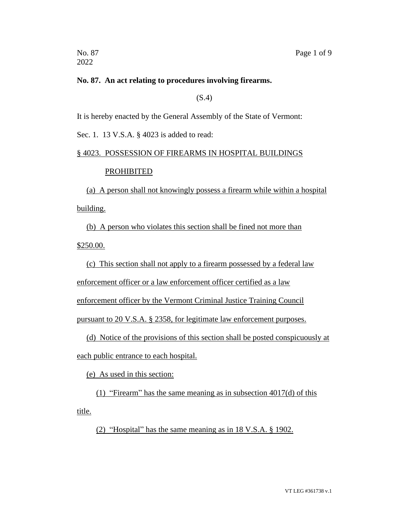2022

### **No. 87. An act relating to procedures involving firearms.**

(S.4)

It is hereby enacted by the General Assembly of the State of Vermont:

Sec. 1. 13 V.S.A. § 4023 is added to read:

# § 4023. POSSESSION OF FIREARMS IN HOSPITAL BUILDINGS PROHIBITED

(a) A person shall not knowingly possess a firearm while within a hospital building.

(b) A person who violates this section shall be fined not more than

\$250.00.

(c) This section shall not apply to a firearm possessed by a federal law

enforcement officer or a law enforcement officer certified as a law

enforcement officer by the Vermont Criminal Justice Training Council

pursuant to 20 V.S.A. § 2358, for legitimate law enforcement purposes.

(d) Notice of the provisions of this section shall be posted conspicuously at each public entrance to each hospital.

(e) As used in this section:

(1) "Firearm" has the same meaning as in subsection 4017(d) of this title.

(2) "Hospital" has the same meaning as in 18 V.S.A. § 1902.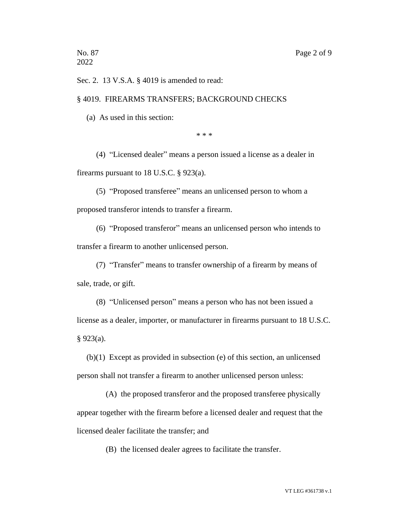Sec. 2. 13 V.S.A. § 4019 is amended to read:

### § 4019. FIREARMS TRANSFERS; BACKGROUND CHECKS

(a) As used in this section:

\* \* \*

(4) "Licensed dealer" means a person issued a license as a dealer in firearms pursuant to 18 U.S.C. § 923(a).

(5) "Proposed transferee" means an unlicensed person to whom a proposed transferor intends to transfer a firearm.

(6) "Proposed transferor" means an unlicensed person who intends to transfer a firearm to another unlicensed person.

(7) "Transfer" means to transfer ownership of a firearm by means of sale, trade, or gift.

(8) "Unlicensed person" means a person who has not been issued a license as a dealer, importer, or manufacturer in firearms pursuant to 18 U.S.C. § 923(a).

(b)(1) Except as provided in subsection (e) of this section, an unlicensed person shall not transfer a firearm to another unlicensed person unless:

(A) the proposed transferor and the proposed transferee physically appear together with the firearm before a licensed dealer and request that the licensed dealer facilitate the transfer; and

(B) the licensed dealer agrees to facilitate the transfer.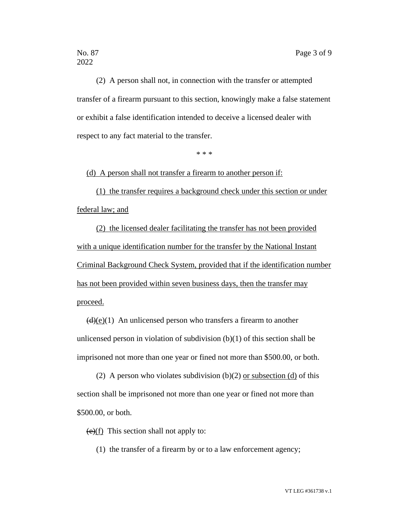(2) A person shall not, in connection with the transfer or attempted transfer of a firearm pursuant to this section, knowingly make a false statement or exhibit a false identification intended to deceive a licensed dealer with respect to any fact material to the transfer.

\* \* \*

(d) A person shall not transfer a firearm to another person if:

(1) the transfer requires a background check under this section or under federal law; and

(2) the licensed dealer facilitating the transfer has not been provided with a unique identification number for the transfer by the National Instant Criminal Background Check System, provided that if the identification number has not been provided within seven business days, then the transfer may proceed.

 $(d)(e)(1)$  An unlicensed person who transfers a firearm to another unlicensed person in violation of subdivision (b)(1) of this section shall be imprisoned not more than one year or fined not more than \$500.00, or both.

(2) A person who violates subdivision (b)(2) or subsection (d) of this section shall be imprisoned not more than one year or fined not more than \$500.00, or both.

 $(e)(f)$  This section shall not apply to:

(1) the transfer of a firearm by or to a law enforcement agency;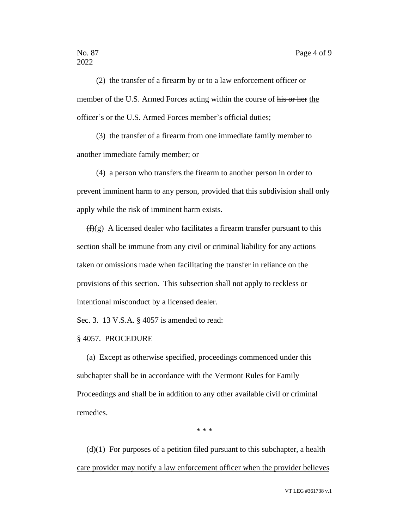(2) the transfer of a firearm by or to a law enforcement officer or member of the U.S. Armed Forces acting within the course of his or her the officer's or the U.S. Armed Forces member's official duties;

(3) the transfer of a firearm from one immediate family member to another immediate family member; or

(4) a person who transfers the firearm to another person in order to prevent imminent harm to any person, provided that this subdivision shall only apply while the risk of imminent harm exists.

 $(f)(g)$  A licensed dealer who facilitates a firearm transfer pursuant to this section shall be immune from any civil or criminal liability for any actions taken or omissions made when facilitating the transfer in reliance on the provisions of this section. This subsection shall not apply to reckless or intentional misconduct by a licensed dealer.

Sec. 3. 13 V.S.A. § 4057 is amended to read:

### § 4057. PROCEDURE

(a) Except as otherwise specified, proceedings commenced under this subchapter shall be in accordance with the Vermont Rules for Family Proceedings and shall be in addition to any other available civil or criminal remedies.

\* \* \*

 $(d)(1)$  For purposes of a petition filed pursuant to this subchapter, a health care provider may notify a law enforcement officer when the provider believes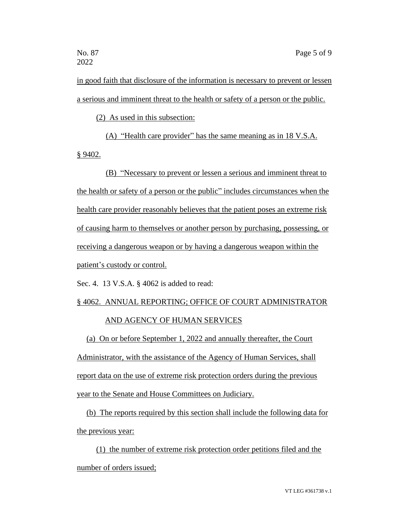in good faith that disclosure of the information is necessary to prevent or lessen a serious and imminent threat to the health or safety of a person or the public.

(2) As used in this subsection:

(A) "Health care provider" has the same meaning as in 18 V.S.A. § 9402.

(B) "Necessary to prevent or lessen a serious and imminent threat to the health or safety of a person or the public" includes circumstances when the health care provider reasonably believes that the patient poses an extreme risk of causing harm to themselves or another person by purchasing, possessing, or receiving a dangerous weapon or by having a dangerous weapon within the patient's custody or control.

Sec. 4. 13 V.S.A. § 4062 is added to read:

# § 4062. ANNUAL REPORTING; OFFICE OF COURT ADMINISTRATOR AND AGENCY OF HUMAN SERVICES

(a) On or before September 1, 2022 and annually thereafter, the Court Administrator, with the assistance of the Agency of Human Services, shall report data on the use of extreme risk protection orders during the previous year to the Senate and House Committees on Judiciary.

(b) The reports required by this section shall include the following data for the previous year:

(1) the number of extreme risk protection order petitions filed and the number of orders issued;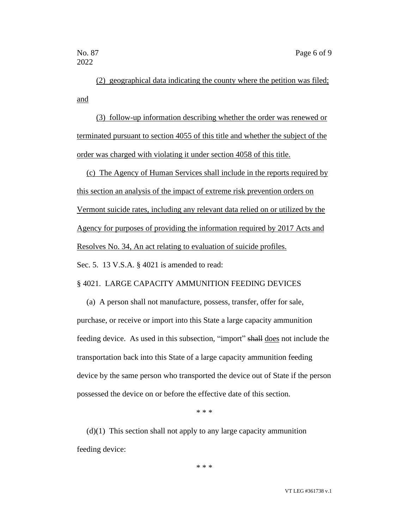(2) geographical data indicating the county where the petition was filed; and

(3) follow-up information describing whether the order was renewed or terminated pursuant to section 4055 of this title and whether the subject of the order was charged with violating it under section 4058 of this title.

(c) The Agency of Human Services shall include in the reports required by this section an analysis of the impact of extreme risk prevention orders on Vermont suicide rates, including any relevant data relied on or utilized by the Agency for purposes of providing the information required by 2017 Acts and Resolves No. 34, An act relating to evaluation of suicide profiles.

Sec. 5. 13 V.S.A. § 4021 is amended to read:

### § 4021. LARGE CAPACITY AMMUNITION FEEDING DEVICES

(a) A person shall not manufacture, possess, transfer, offer for sale, purchase, or receive or import into this State a large capacity ammunition feeding device. As used in this subsection, "import" shall does not include the transportation back into this State of a large capacity ammunition feeding device by the same person who transported the device out of State if the person possessed the device on or before the effective date of this section.

\* \* \*

 $(d)(1)$  This section shall not apply to any large capacity ammunition feeding device:

\* \* \*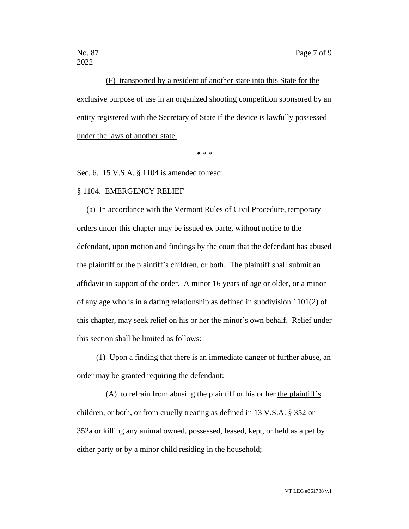2022

(F) transported by a resident of another state into this State for the exclusive purpose of use in an organized shooting competition sponsored by an entity registered with the Secretary of State if the device is lawfully possessed under the laws of another state.

\* \* \*

Sec. 6. 15 V.S.A. § 1104 is amended to read:

### § 1104. EMERGENCY RELIEF

(a) In accordance with the Vermont Rules of Civil Procedure, temporary orders under this chapter may be issued ex parte, without notice to the defendant, upon motion and findings by the court that the defendant has abused the plaintiff or the plaintiff's children, or both. The plaintiff shall submit an affidavit in support of the order. A minor 16 years of age or older, or a minor of any age who is in a dating relationship as defined in subdivision  $1101(2)$  of this chapter, may seek relief on his or her the minor's own behalf. Relief under this section shall be limited as follows:

(1) Upon a finding that there is an immediate danger of further abuse, an order may be granted requiring the defendant:

(A) to refrain from abusing the plaintiff or his or her the plaintiff's children, or both, or from cruelly treating as defined in 13 V.S.A. § 352 or 352a or killing any animal owned, possessed, leased, kept, or held as a pet by either party or by a minor child residing in the household;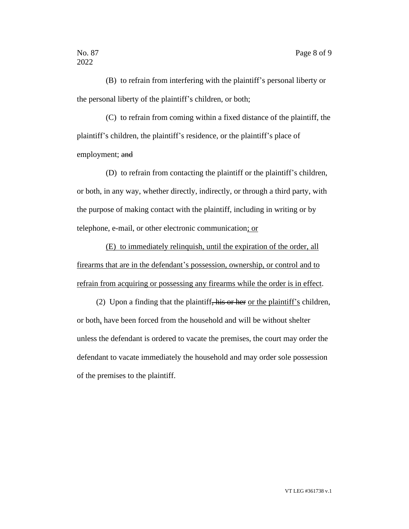(B) to refrain from interfering with the plaintiff's personal liberty or the personal liberty of the plaintiff's children, or both;

(C) to refrain from coming within a fixed distance of the plaintiff, the plaintiff's children, the plaintiff's residence, or the plaintiff's place of employment; and

(D) to refrain from contacting the plaintiff or the plaintiff's children, or both, in any way, whether directly, indirectly, or through a third party, with the purpose of making contact with the plaintiff, including in writing or by telephone, e-mail, or other electronic communication; or

(E) to immediately relinquish, until the expiration of the order, all firearms that are in the defendant's possession, ownership, or control and to refrain from acquiring or possessing any firearms while the order is in effect.

(2) Upon a finding that the plaintiff, his or her or the plaintiff's children, or both, have been forced from the household and will be without shelter unless the defendant is ordered to vacate the premises, the court may order the defendant to vacate immediately the household and may order sole possession of the premises to the plaintiff.